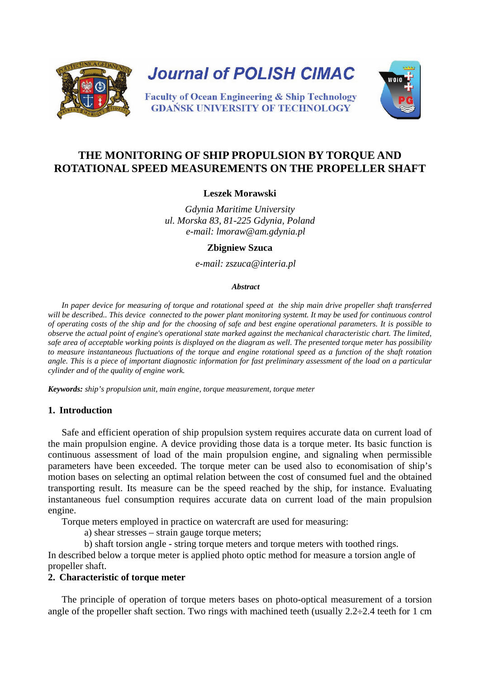

**Journal of POLISH CIMAC** 

**Faculty of Ocean Engineering & Ship Technology GDAŃSK UNIVERSITY OF TECHNOLOGY** 



# **THE MONITORING OF SHIP PROPULSION BY TORQUE AND ROTATIONAL SPEED MEASUREMENTS ON THE PROPELLER SHAFT**

### **Leszek Morawski**

*Gdynia Maritime University ul. Morska 83, 81-225 Gdynia, Poland e-mail: lmoraw@am.gdynia.pl*

#### **Zbigniew Szuca**

*e-mail: zszuca@interia.pl*

#### *Abstract*

*In paper device for measuring of torque and rotational speed at the ship main drive propeller shaft transferred*  will be described.. This device connected to the power plant monitoring systemt. It may be used for continuous control *of operating costs of the ship and for the choosing of safe and best engine operational parameters. It is possible to observe the actual point of engine's operational state marked against the mechanical characteristic chart. The limited, safe area of acceptable working points is displayed on the diagram as well. The presented torque meter has possibility to measure instantaneous fluctuations of the torque and engine rotational speed as a function of the shaft rotation angle. This is a piece of important diagnostic information for fast preliminary assessment of the load on a particular cylinder and of the quality of engine work.*

*Keywords: ship's propulsion unit, main engine, torque measurement, torque meter*

#### **1. Introduction**

Safe and efficient operation of ship propulsion system requires accurate data on current load of the main propulsion engine. A device providing those data is a torque meter. Its basic function is continuous assessment of load of the main propulsion engine, and signaling when permissible parameters have been exceeded. The torque meter can be used also to economisation of ship's motion bases on selecting an optimal relation between the cost of consumed fuel and the obtained transporting result. Its measure can be the speed reached by the ship, for instance. Evaluating instantaneous fuel consumption requires accurate data on current load of the main propulsion engine.

Torque meters employed in practice on watercraft are used for measuring:

a) shear stresses – strain gauge torque meters;

b) shaft torsion angle - string torque meters and torque meters with toothed rings.

In described below a torque meter is applied photo optic method for measure a torsion angle of propeller shaft.

# **2. Characteristic of torque meter**

The principle of operation of torque meters bases on photo-optical measurement of a torsion angle of the propeller shaft section. Two rings with machined teeth (usually  $2.2 \div 2.4$  teeth for 1 cm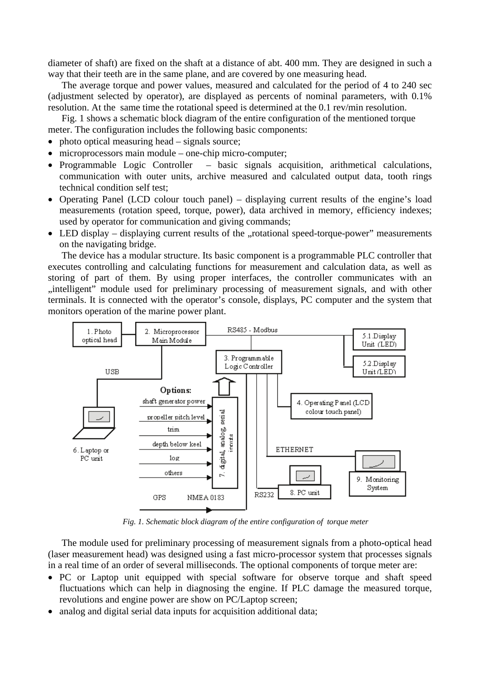diameter of shaft) are fixed on the shaft at a distance of abt. 400 mm. They are designed in such a way that their teeth are in the same plane, and are covered by one measuring head.

The average torque and power values, measured and calculated for the period of 4 to 240 sec (adjustment selected by operator), are displayed as percents of nominal parameters, with 0.1% resolution. At the same time the rotational speed is determined at the 0.1 rev/min resolution.

Fig. 1 shows a schematic block diagram of the entire configuration of the mentioned torque meter. The configuration includes the following basic components:

- photo optical measuring head signals source;
- microprocessors main module one-chip micro-computer;
- Programmable Logic Controller basic signals acquisition, arithmetical calculations, communication with outer units, archive measured and calculated output data, tooth rings technical condition self test;
- Operating Panel (LCD colour touch panel) displaying current results of the engine's load measurements (rotation speed, torque, power), data archived in memory, efficiency indexes; used by operator for communication and giving commands;
- LED display displaying current results of the "rotational speed-torque-power" measurements on the navigating bridge.

The device has a modular structure. Its basic component is a programmable PLC controller that executes controlling and calculating functions for measurement and calculation data, as well as storing of part of them. By using proper interfaces, the controller communicates with an "intelligent" module used for preliminary processing of measurement signals, and with other terminals. It is connected with the operator's console, displays, PC computer and the system that monitors operation of the marine power plant.



*Fig. 1. Schematic block diagram of the entire configuration of torque meter*

The module used for preliminary processing of measurement signals from a photo-optical head (laser measurement head) was designed using a fast micro-processor system that processes signals in a real time of an order of several milliseconds. The optional components of torque meter are:

- PC or Laptop unit equipped with special software for observe torque and shaft speed fluctuations which can help in diagnosing the engine. If PLC damage the measured torque, revolutions and engine power are show on PC/Laptop screen;
- analog and digital serial data inputs for acquisition additional data;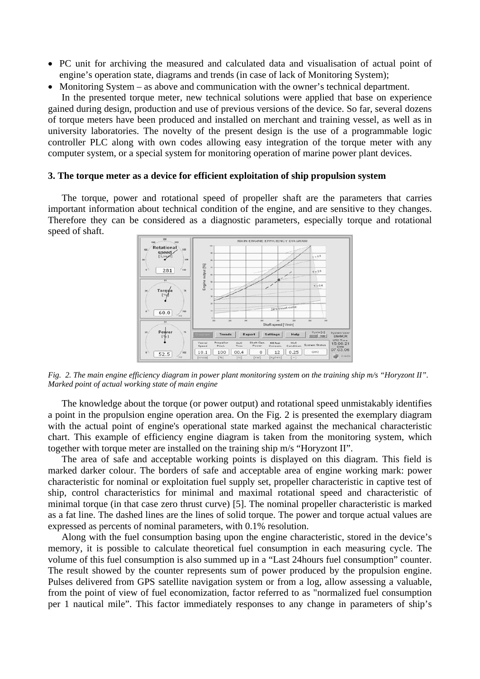- PC unit for archiving the measured and calculated data and visualisation of actual point of engine's operation state, diagrams and trends (in case of lack of Monitoring System);
- Monitoring System as above and communication with the owner's technical department.

In the presented torque meter, new technical solutions were applied that base on experience gained during design, production and use of previous versions of the device. So far, several dozens of torque meters have been produced and installed on merchant and training vessel, as well as in university laboratories. The novelty of the present design is the use of a programmable logic controller PLC along with own codes allowing easy integration of the torque meter with any computer system, or a special system for monitoring operation of marine power plant devices.

#### **3. The torque meter as a device for efficient exploitation of ship propulsion system**

The torque, power and rotational speed of propeller shaft are the parameters that carries important information about technical condition of the engine, and are sensitive to they changes. Therefore they can be considered as a diagnostic parameters, especially torque and rotational speed of shaft.



*Fig. 2. The main engine efficiency diagram in power plant monitoring system on the training ship m/s "Horyzont II". Marked point of actual working state of main engine*

The knowledge about the torque (or power output) and rotational speed unmistakably identifies a point in the propulsion engine operation area. On the Fig. 2 is presented the exemplary diagram with the actual point of engine's operational state marked against the mechanical characteristic chart. This example of efficiency engine diagram is taken from the monitoring system, which together with torque meter are installed on the training ship m/s "Horyzont II".

The area of safe and acceptable working points is displayed on this diagram. This field is marked darker colour. The borders of safe and acceptable area of engine working mark: power characteristic for nominal or exploitation fuel supply set, propeller characteristic in captive test of ship, control characteristics for minimal and maximal rotational speed and characteristic of minimal torque (in that case zero thrust curve) [5]. The nominal propeller characteristic is marked as a fat line. The dashed lines are the lines of solid torque. The power and torque actual values are expressed as percents of nominal parameters, with 0.1% resolution.

Along with the fuel consumption basing upon the engine characteristic, stored in the device's memory, it is possible to calculate theoretical fuel consumption in each measuring cycle. The volume of this fuel consumption is also summed up in a "Last 24hours fuel consumption" counter. The result showed by the counter represents sum of power produced by the propulsion engine. Pulses delivered from GPS satellite navigation system or from a log, allow assessing a valuable, from the point of view of fuel economization, factor referred to as "normalized fuel consumption per 1 nautical mile". This factor immediately responses to any change in parameters of ship's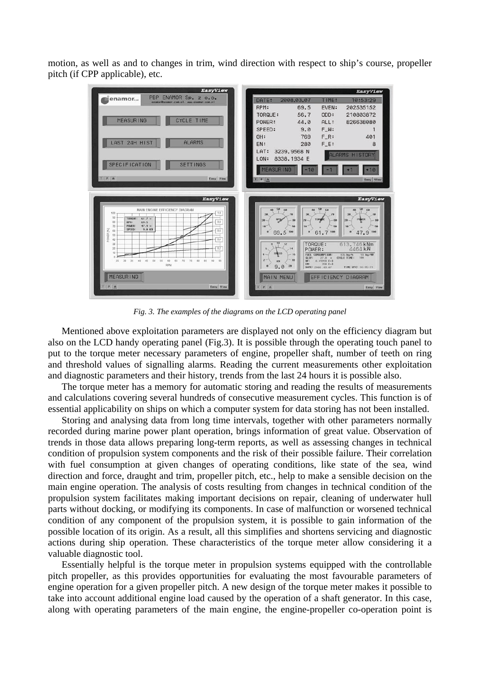motion, as well as and to changes in trim, wind direction with respect to ship's course, propeller pitch (if CPP applicable), etc.



*Fig. 3. The examples of the diagrams on the LCD operating panel*

Mentioned above exploitation parameters are displayed not only on the efficiency diagram but also on the LCD handy operating panel (Fig.3). It is possible through the operating touch panel to put to the torque meter necessary parameters of engine, propeller shaft, number of teeth on ring and threshold values of signalling alarms. Reading the current measurements other exploitation and diagnostic parameters and their history, trends from the last 24 hours it is possible also.

The torque meter has a memory for automatic storing and reading the results of measurements and calculations covering several hundreds of consecutive measurement cycles. This function is of essential applicability on ships on which a computer system for data storing has not been installed.

Storing and analysing data from long time intervals, together with other parameters normally recorded during marine power plant operation, brings information of great value. Observation of trends in those data allows preparing long-term reports, as well as assessing changes in technical condition of propulsion system components and the risk of their possible failure. Their correlation with fuel consumption at given changes of operating conditions, like state of the sea, wind direction and force, draught and trim, propeller pitch, etc., help to make a sensible decision on the main engine operation. The analysis of costs resulting from changes in technical condition of the propulsion system facilitates making important decisions on repair, cleaning of underwater hull parts without docking, or modifying its components. In case of malfunction or worsened technical condition of any component of the propulsion system, it is possible to gain information of the possible location of its origin. As a result, all this simplifies and shortens servicing and diagnostic actions during ship operation. These characteristics of the torque meter allow considering it a valuable diagnostic tool.

Essentially helpful is the torque meter in propulsion systems equipped with the controllable pitch propeller, as this provides opportunities for evaluating the most favourable parameters of engine operation for a given propeller pitch. A new design of the torque meter makes it possible to take into account additional engine load caused by the operation of a shaft generator. In this case, along with operating parameters of the main engine, the engine-propeller co-operation point is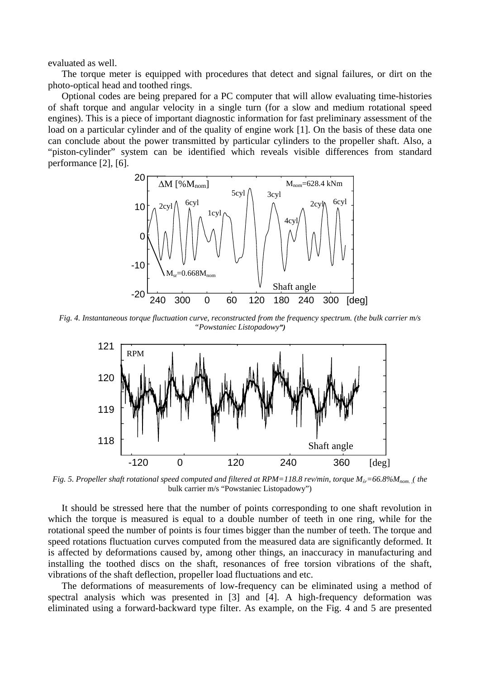evaluated as well.

The torque meter is equipped with procedures that detect and signal failures, or dirt on the photo-optical head and toothed rings.

Optional codes are being prepared for a PC computer that will allow evaluating time-histories of shaft torque and angular velocity in a single turn (for a slow and medium rotational speed engines). This is a piece of important diagnostic information for fast preliminary assessment of the load on a particular cylinder and of the quality of engine work [1]. On the basis of these data one can conclude about the power transmitted by particular cylinders to the propeller shaft. Also, a "piston-cylinder" system can be identified which reveals visible differences from standard performance [2], [6].



*Fig. 4. Instantaneous torque fluctuation curve, reconstructed from the frequency spectrum. (the bulk carrier m/s "Powstaniec Listopadowy")* 



*Fig. 5. Propeller shaft rotational speed computed and filtered at RPM=118.8 rev/min, torque Mśr=66.8%Mnom. ,( the* bulk carrier m/s "Powstaniec Listopadowy")

It should be stressed here that the number of points corresponding to one shaft revolution in which the torque is measured is equal to a double number of teeth in one ring, while for the rotational speed the number of points is four times bigger than the number of teeth. The torque and speed rotations fluctuation curves computed from the measured data are significantly deformed. It is affected by deformations caused by, among other things, an inaccuracy in manufacturing and installing the toothed discs on the shaft, resonances of free torsion vibrations of the shaft, vibrations of the shaft deflection, propeller load fluctuations and etc.

The deformations of measurements of low-frequency can be eliminated using a method of spectral analysis which was presented in [3] and [4]. A high-frequency deformation was eliminated using a forward-backward type filter. As example, on the Fig. 4 and 5 are presented